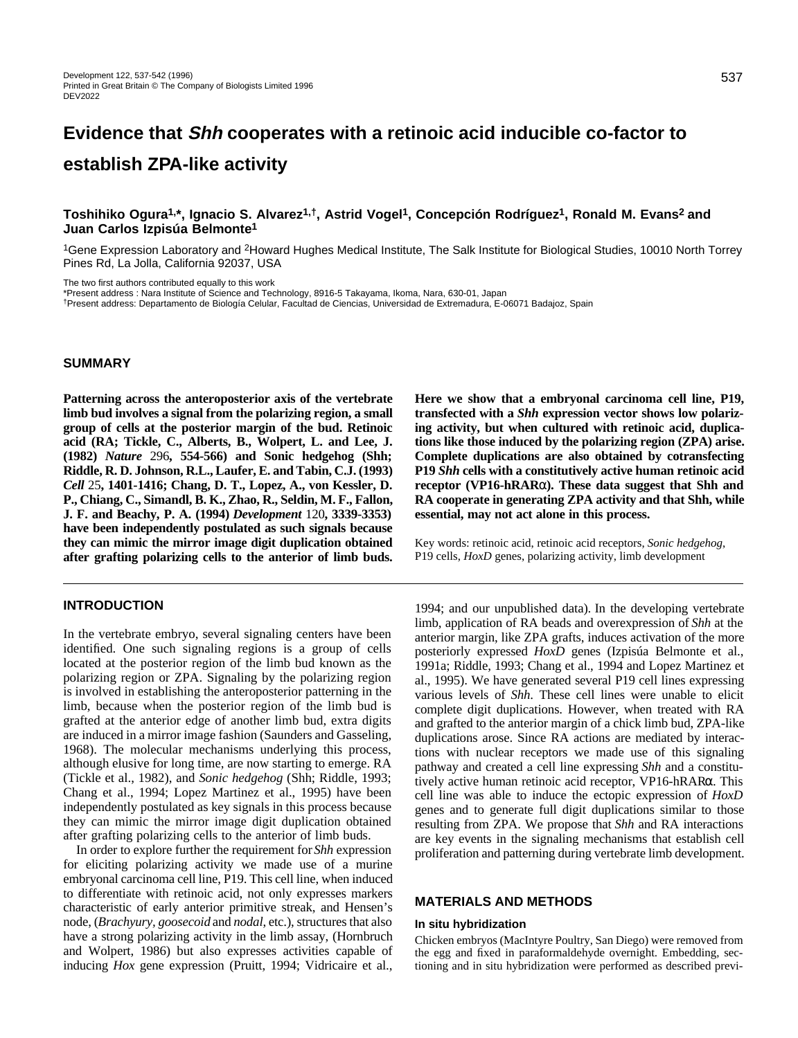# **Evidence that Shh cooperates with a retinoic acid inducible co-factor to establish ZPA-like activity**

# **Toshihiko Ogura1,\*, Ignacio S. Alvarez1,†, Astrid Vogel1, Concepción Rodríguez1, Ronald M. Evans2 and Juan Carlos Izpisúa Belmonte1**

<sup>1</sup>Gene Expression Laboratory and <sup>2</sup>Howard Hughes Medical Institute, The Salk Institute for Biological Studies, 10010 North Torrey Pines Rd, La Jolla, California 92037, USA

The two first authors contributed equally to this work

\*Present address : Nara Institute of Science and Technology, 8916-5 Takayama, Ikoma, Nara, 630-01, Japan

†Present address: Departamento de Biología Celular, Facultad de Ciencias, Universidad de Extremadura, E-06071 Badajoz, Spain

## **SUMMARY**

**Patterning across the anteroposterior axis of the vertebrate limb bud involves a signal from the polarizing region, a small group of cells at the posterior margin of the bud. Retinoic acid (RA; Tickle, C., Alberts, B., Wolpert, L. and Lee, J. (1982)** *Nature* 296**, 554-566) and Sonic hedgehog (Shh; Riddle, R. D. Johnson, R.L., Laufer, E. and Tabin, C.J. (1993)** *Cell* 25**, 1401-1416; Chang, D. T., Lopez, A., von Kessler, D. P., Chiang, C., Simandl, B. K., Zhao, R., Seldin, M. F., Fallon, J. F. and Beachy, P. A. (1994)** *Development* 120**, 3339-3353) have been independently postulated as such signals because they can mimic the mirror image digit duplication obtained after grafting polarizing cells to the anterior of limb buds.**

## **INTRODUCTION**

In the vertebrate embryo, several signaling centers have been identified. One such signaling regions is a group of cells located at the posterior region of the limb bud known as the polarizing region or ZPA. Signaling by the polarizing region is involved in establishing the anteroposterior patterning in the limb, because when the posterior region of the limb bud is grafted at the anterior edge of another limb bud, extra digits are induced in a mirror image fashion (Saunders and Gasseling, 1968). The molecular mechanisms underlying this process, although elusive for long time, are now starting to emerge. RA (Tickle et al., 1982), and *Sonic hedgehog* (Shh; Riddle, 1993; Chang et al., 1994; Lopez Martinez et al., 1995) have been independently postulated as key signals in this process because they can mimic the mirror image digit duplication obtained after grafting polarizing cells to the anterior of limb buds.

In order to explore further the requirement for *Shh* expression for eliciting polarizing activity we made use of a murine embryonal carcinoma cell line, P19. This cell line, when induced to differentiate with retinoic acid, not only expresses markers characteristic of early anterior primitive streak, and Hensen's node, (*Brachyury, goosecoid* and *nodal*, etc.), structures that also have a strong polarizing activity in the limb assay, (Hornbruch and Wolpert, 1986) but also expresses activities capable of inducing *Hox* gene expression (Pruitt, 1994; Vidricaire et al., **Here we show that a embryonal carcinoma cell line, P19, transfected with a** *Shh* **expression vector shows low polarizing activity, but when cultured with retinoic acid, duplications like those induced by the polarizing region (ZPA) arise. Complete duplications are also obtained by cotransfecting P19** *Shh* **cells with a constitutively active human retinoic acid receptor (VP16-hRAR**α**). These data suggest that Shh and RA cooperate in generating ZPA activity and that Shh, while essential, may not act alone in this process.**

Key words: retinoic acid, retinoic acid receptors, *Sonic hedgehog*, P19 cells, *HoxD* genes, polarizing activity, limb development

1994; and our unpublished data). In the developing vertebrate limb, application of RA beads and overexpression of *Shh* at the anterior margin, like ZPA grafts, induces activation of the more posteriorly expressed *HoxD* genes (Izpisúa Belmonte et al., 1991a; Riddle, 1993; Chang et al., 1994 and Lopez Martinez et al., 1995). We have generated several P19 cell lines expressing various levels of *Shh*. These cell lines were unable to elicit complete digit duplications. However, when treated with RA and grafted to the anterior margin of a chick limb bud, ZPA-like duplications arose. Since RA actions are mediated by interactions with nuclear receptors we made use of this signaling pathway and created a cell line expressing *Shh* and a constitutively active human retinoic acid receptor, VP16-hRARα. This cell line was able to induce the ectopic expression of *HoxD* genes and to generate full digit duplications similar to those resulting from ZPA. We propose that *Shh* and RA interactions are key events in the signaling mechanisms that establish cell proliferation and patterning during vertebrate limb development.

# **MATERIALS AND METHODS**

#### **In situ hybridization**

Chicken embryos (MacIntyre Poultry, San Diego) were removed from the egg and fixed in paraformaldehyde overnight. Embedding, sectioning and in situ hybridization were performed as described previ-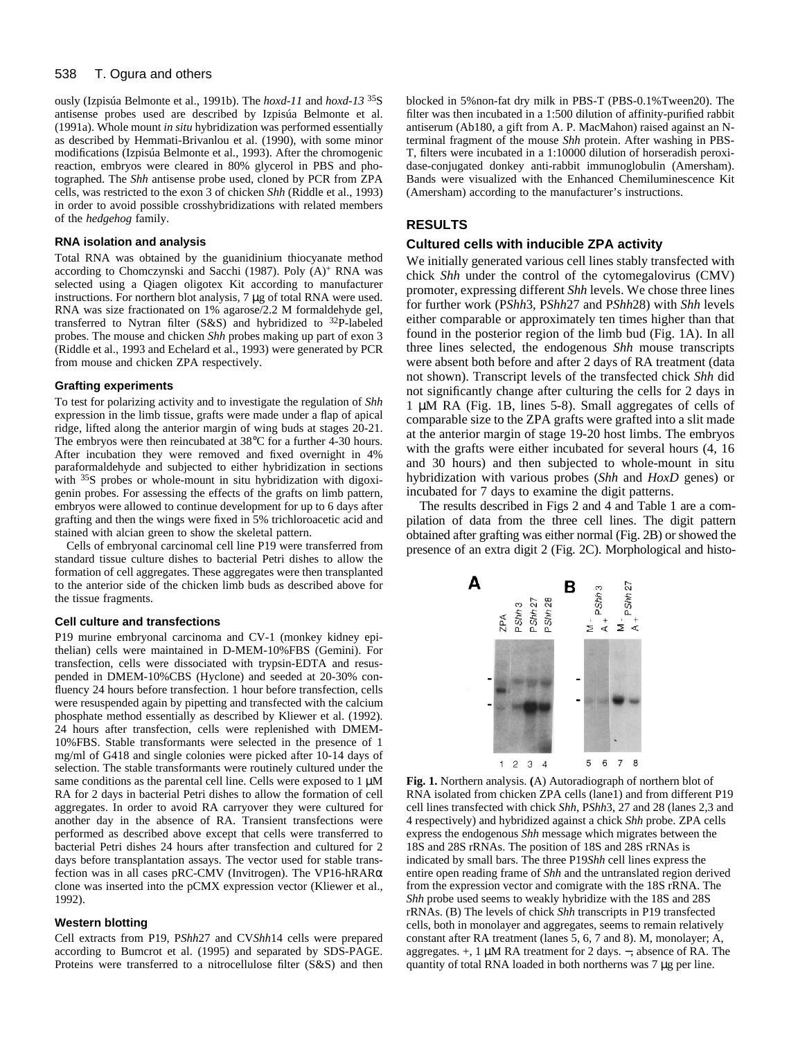#### 538 T. Ogura and others

ously (Izpisúa Belmonte et al., 1991b). The *hoxd-11* and *hoxd-13* 35S antisense probes used are described by Izpisúa Belmonte et al. (1991a). Whole mount *in situ* hybridization was performed essentially as described by Hemmati-Brivanlou et al. (1990), with some minor modifications (Izpisúa Belmonte et al., 1993). After the chromogenic reaction, embryos were cleared in 80% glycerol in PBS and photographed. The *Shh* antisense probe used, cloned by PCR from ZPA cells, was restricted to the exon 3 of chicken *Shh* (Riddle et al., 1993) in order to avoid possible crosshybridizations with related members of the *hedgehog* family.

## **RNA isolation and analysis**

Total RNA was obtained by the guanidinium thiocyanate method according to Chomczynski and Sacchi (1987). Poly (A)+ RNA was selected using a Qiagen oligotex Kit according to manufacturer instructions. For northern blot analysis, 7 µg of total RNA were used. RNA was size fractionated on 1% agarose/2.2 M formaldehyde gel, transferred to Nytran filter (S&S) and hybridized to 32P-labeled probes. The mouse and chicken *Shh* probes making up part of exon 3 (Riddle et al., 1993 and Echelard et al., 1993) were generated by PCR from mouse and chicken ZPA respectively.

#### **Grafting experiments**

To test for polarizing activity and to investigate the regulation of *Shh* expression in the limb tissue, grafts were made under a flap of apical ridge, lifted along the anterior margin of wing buds at stages 20-21. The embryos were then reincubated at 38°C for a further 4-30 hours. After incubation they were removed and fixed overnight in 4% paraformaldehyde and subjected to either hybridization in sections with <sup>35</sup>S probes or whole-mount in situ hybridization with digoxigenin probes. For assessing the effects of the grafts on limb pattern, embryos were allowed to continue development for up to 6 days after grafting and then the wings were fixed in 5% trichloroacetic acid and stained with alcian green to show the skeletal pattern.

Cells of embryonal carcinomal cell line P19 were transferred from standard tissue culture dishes to bacterial Petri dishes to allow the formation of cell aggregates. These aggregates were then transplanted to the anterior side of the chicken limb buds as described above for the tissue fragments.

#### **Cell culture and transfections**

P19 murine embryonal carcinoma and CV-1 (monkey kidney epithelian) cells were maintained in D-MEM-10%FBS (Gemini). For transfection, cells were dissociated with trypsin-EDTA and resuspended in DMEM-10%CBS (Hyclone) and seeded at 20-30% confluency 24 hours before transfection. 1 hour before transfection, cells were resuspended again by pipetting and transfected with the calcium phosphate method essentially as described by Kliewer et al. (1992). 24 hours after transfection, cells were replenished with DMEM-10%FBS. Stable transformants were selected in the presence of 1 mg/ml of G418 and single colonies were picked after 10-14 days of selection. The stable transformants were routinely cultured under the same conditions as the parental cell line. Cells were exposed to  $1 \mu$ M RA for 2 days in bacterial Petri dishes to allow the formation of cell aggregates. In order to avoid RA carryover they were cultured for another day in the absence of RA. Transient transfections were performed as described above except that cells were transferred to bacterial Petri dishes 24 hours after transfection and cultured for 2 days before transplantation assays. The vector used for stable transfection was in all cases pRC-CMV (Invitrogen). The VP16-hRARα clone was inserted into the pCMX expression vector (Kliewer et al., 1992).

#### **Western blotting**

Cell extracts from P19, P*Shh*27 and CV*Shh*14 cells were prepared according to Bumcrot et al. (1995) and separated by SDS-PAGE. Proteins were transferred to a nitrocellulose filter (S&S) and then

blocked in 5%non-fat dry milk in PBS-T (PBS-0.1%Tween20). The filter was then incubated in a 1:500 dilution of affinity-purified rabbit antiserum (Ab180, a gift from A. P. MacMahon) raised against an Nterminal fragment of the mouse *Shh* protein. After washing in PBS-T, filters were incubated in a 1:10000 dilution of horseradish peroxidase-conjugated donkey anti-rabbit immunoglobulin (Amersham). Bands were visualized with the Enhanced Chemiluminescence Kit (Amersham) according to the manufacturer's instructions.

## **RESULTS**

# **Cultured cells with inducible ZPA activity**

We initially generated various cell lines stably transfected with chick *Shh* under the control of the cytomegalovirus (CMV) promoter, expressing different *Shh* levels. We chose three lines for further work (P*Shh*3, P*Shh*27 and P*Shh*28) with *Shh* levels either comparable or approximately ten times higher than that found in the posterior region of the limb bud (Fig. 1A). In all three lines selected, the endogenous *Shh* mouse transcripts were absent both before and after 2 days of RA treatment (data not shown). Transcript levels of the transfected chick *Shh* did not significantly change after culturing the cells for 2 days in 1 µM RA (Fig. 1B, lines 5-8). Small aggregates of cells of comparable size to the ZPA grafts were grafted into a slit made at the anterior margin of stage 19-20 host limbs. The embryos with the grafts were either incubated for several hours  $(4, 16)$ and 30 hours) and then subjected to whole-mount in situ hybridization with various probes (*Shh* and *HoxD* genes) or incubated for 7 days to examine the digit patterns.

The results described in Figs 2 and 4 and Table 1 are a compilation of data from the three cell lines. The digit pattern obtained after grafting was either normal (Fig. 2B) or showed the presence of an extra digit 2 (Fig. 2C). Morphological and histo-



**Fig. 1.** Northern analysis. **(**A) Autoradiograph of northern blot of RNA isolated from chicken ZPA cells (lane1) and from different P19 cell lines transfected with chick *Shh*, P*Shh*3, 27 and 28 (lanes 2,3 and 4 respectively) and hybridized against a chick *Shh* probe. ZPA cells express the endogenous *Shh* message which migrates between the 18S and 28S rRNAs. The position of 18S and 28S rRNAs is indicated by small bars. The three P19*Shh* cell lines express the entire open reading frame of *Shh* and the untranslated region derived from the expression vector and comigrate with the 18S rRNA. The *Shh* probe used seems to weakly hybridize with the 18S and 28S rRNAs. (B) The levels of chick *Shh* transcripts in P19 transfected cells, both in monolayer and aggregates, seems to remain relatively constant after RA treatment (lanes 5, 6, 7 and 8). M, monolayer; A, aggregates. +, 1 µM RA treatment for 2 days. −, absence of RA. The quantity of total RNA loaded in both northerns was 7 µg per line.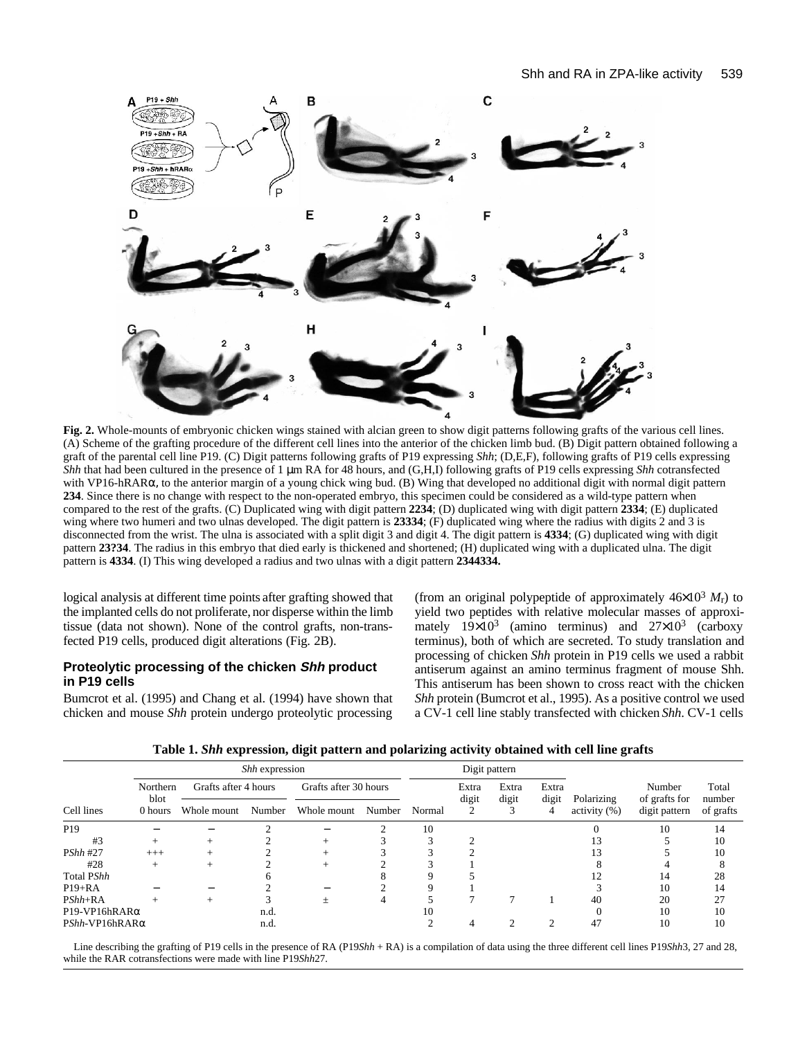

**Fig. 2.** Whole-mounts of embryonic chicken wings stained with alcian green to show digit patterns following grafts of the various cell lines. (A) Scheme of the grafting procedure of the different cell lines into the anterior of the chicken limb bud. (B) Digit pattern obtained following a graft of the parental cell line P19. (C) Digit patterns following grafts of P19 expressing *Shh*; (D,E,F), following grafts of P19 cells expressing *Shh* that had been cultured in the presence of 1 µm RA for 48 hours, and (G,H,I) following grafts of P19 cells expressing *Shh* cotransfected with VP16-hRARα, to the anterior margin of a young chick wing bud. (B) Wing that developed no additional digit with normal digit pattern **234**. Since there is no change with respect to the non-operated embryo, this specimen could be considered as a wild-type pattern when compared to the rest of the grafts. (C) Duplicated wing with digit pattern **2234**; (D) duplicated wing with digit pattern **2334**; (E) duplicated wing where two humeri and two ulnas developed. The digit pattern is **23334**; (F) duplicated wing where the radius with digits 2 and 3 is disconnected from the wrist. The ulna is associated with a split digit 3 and digit 4. The digit pattern is **4334**; (G) duplicated wing with digit pattern **23?34**. The radius in this embryo that died early is thickened and shortened; (H) duplicated wing with a duplicated ulna. The digit pattern is **4334**. (I) This wing developed a radius and two ulnas with a digit pattern **2344334.**

logical analysis at different time points after grafting showed that the implanted cells do not proliferate, nor disperse within the limb tissue (data not shown). None of the control grafts, non-transfected P19 cells, produced digit alterations (Fig. 2B).

# **Proteolytic processing of the chicken Shh product in P19 cells**

Bumcrot et al. (1995) and Chang et al. (1994) have shown that chicken and mouse *Shh* protein undergo proteolytic processing

(from an original polypeptide of approximately  $46\times10^3$  *M*<sup>r</sup>) to yield two peptides with relative molecular masses of approximately  $19\times10^3$  (amino terminus) and  $27\times10^3$  (carboxy terminus), both of which are secreted. To study translation and processing of chicken *Shh* protein in P19 cells we used a rabbit antiserum against an amino terminus fragment of mouse Shh. This antiserum has been shown to cross react with the chicken *Shh* protein (Bumcrot et al., 1995). As a positive control we used a CV-1 cell line stably transfected with chicken *Shh*. CV-1 cells

| Cell lines                | <i>Shh</i> expression       |                      |        |                       |        | Digit pattern |                |                |                |                  |                         |                 |
|---------------------------|-----------------------------|----------------------|--------|-----------------------|--------|---------------|----------------|----------------|----------------|------------------|-------------------------|-----------------|
|                           | Northern<br>blot<br>0 hours | Grafts after 4 hours |        | Grafts after 30 hours |        |               | Extra<br>digit | Extra<br>digit | Extra<br>digit | Polarizing       | Number<br>of grafts for | Total<br>number |
|                           |                             | Whole mount          | Number | Whole mount           | Number | Normal        |                |                | 4              | activity $(\% )$ | digit pattern           | of grafts       |
| P <sub>19</sub>           |                             |                      |        |                       |        | 10            |                |                |                |                  | 10                      | 14              |
| #3                        | $^{+}$                      |                      |        |                       |        |               |                |                |                |                  |                         | 10              |
| <b>PShh #27</b>           | $^{+++}$                    |                      |        |                       |        |               |                |                |                |                  |                         | 10              |
| #28                       | $^{+}$                      |                      |        |                       |        |               |                |                |                |                  |                         |                 |
| Total PShh                |                             |                      |        |                       |        |               |                |                |                |                  | 14                      | 28              |
| $P19+RA$                  |                             |                      |        |                       |        |               |                |                |                |                  | 10                      | 14              |
| $PShh+RA$                 |                             | $^{+}$               |        | $^{+}$                | 4      |               |                |                |                | 40               | 20                      | 27              |
| $P19-VP16hRAR\alpha$      |                             |                      | n.d.   |                       |        | 10            |                |                |                |                  | 10                      | 10              |
| $PShh$ -VP16hRAR $\alpha$ |                             |                      | n.d.   |                       |        |               |                |                |                | 47               | 10                      | 10              |

Line describing the grafting of P19 cells in the presence of RA (P19*Shh* + RA) is a compilation of data using the three different cell lines P19*Shh3*, 27 and 28, while the RAR cotransfections were made with line P19*Shh*27.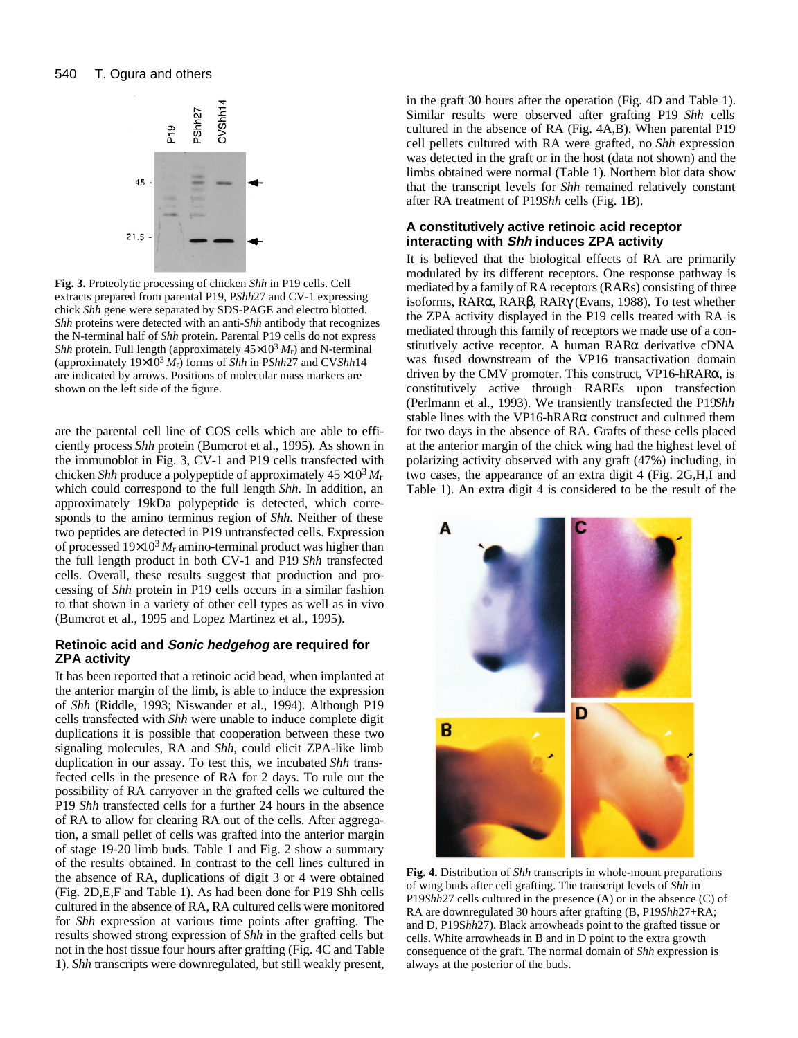

**Fig. 3.** Proteolytic processing of chicken *Shh* in P19 cells. Cell extracts prepared from parental P19, P*Shh*27 and CV-1 expressing chick *Shh* gene were separated by SDS-PAGE and electro blotted. *Shh* proteins were detected with an anti-*Shh* antibody that recognizes the N-terminal half of *Shh* protein. Parental P19 cells do not express *Shh* protein. Full length (approximately  $45 \times 10^3 M_r$ ) and N-terminal (approximately  $19\times10^3 M_r$ ) forms of *Shh* in P*Shh*27 and CV*Shh*14 are indicated by arrows. Positions of molecular mass markers are shown on the left side of the figure.

are the parental cell line of COS cells which are able to efficiently process *Shh* protein (Bumcrot et al., 1995). As shown in the immunoblot in Fig. 3, CV-1 and P19 cells transfected with chicken *Shh* produce a polypeptide of approximately  $45 \times 10^3 M_r$ which could correspond to the full length *Shh*. In addition, an approximately 19kDa polypeptide is detected, which corresponds to the amino terminus region of *Shh*. Neither of these two peptides are detected in P19 untransfected cells. Expression of processed  $19\times10^3 M_r$  amino-terminal product was higher than the full length product in both CV-1 and P19 *Shh* transfected cells. Overall, these results suggest that production and processing of *Shh* protein in P19 cells occurs in a similar fashion to that shown in a variety of other cell types as well as in vivo (Bumcrot et al., 1995 and Lopez Martinez et al., 1995).

# **Retinoic acid and Sonic hedgehog are required for ZPA activity**

It has been reported that a retinoic acid bead, when implanted at the anterior margin of the limb, is able to induce the expression of *Shh* (Riddle, 1993; Niswander et al., 1994). Although P19 cells transfected with *Shh* were unable to induce complete digit duplications it is possible that cooperation between these two signaling molecules, RA and *Shh*, could elicit ZPA-like limb duplication in our assay. To test this, we incubated *Shh* transfected cells in the presence of RA for 2 days. To rule out the possibility of RA carryover in the grafted cells we cultured the P19 *Shh* transfected cells for a further 24 hours in the absence of RA to allow for clearing RA out of the cells. After aggregation, a small pellet of cells was grafted into the anterior margin of stage 19-20 limb buds. Table 1 and Fig. 2 show a summary of the results obtained. In contrast to the cell lines cultured in the absence of RA, duplications of digit 3 or 4 were obtained (Fig. 2D,E,F and Table 1). As had been done for P19 Shh cells cultured in the absence of RA, RA cultured cells were monitored for *Shh* expression at various time points after grafting. The results showed strong expression of *Shh* in the grafted cells but not in the host tissue four hours after grafting (Fig. 4C and Table 1). *Shh* transcripts were downregulated, but still weakly present, in the graft 30 hours after the operation (Fig. 4D and Table 1). Similar results were observed after grafting P19 *Shh* cells cultured in the absence of RA (Fig. 4A,B). When parental P19 cell pellets cultured with RA were grafted, no *Shh* expression was detected in the graft or in the host (data not shown) and the limbs obtained were normal (Table 1). Northern blot data show that the transcript levels for *Shh* remained relatively constant after RA treatment of P19*Shh* cells (Fig. 1B).

# **A constitutively active retinoic acid receptor interacting with Shh induces ZPA activity**

It is believed that the biological effects of RA are primarily modulated by its different receptors. One response pathway is mediated by a family of RA receptors (RARs) consisting of three isoforms, RARα, RARβ, RARγ (Evans, 1988). To test whether the ZPA activity displayed in the P19 cells treated with RA is mediated through this family of receptors we made use of a constitutively active receptor. A human RARα derivative cDNA was fused downstream of the VP16 transactivation domain driven by the CMV promoter. This construct, VP16-hRARα, is constitutively active through RAREs upon transfection (Perlmann et al., 1993). We transiently transfected the P19*Shh* stable lines with the VP16-hRARα construct and cultured them for two days in the absence of RA. Grafts of these cells placed at the anterior margin of the chick wing had the highest level of polarizing activity observed with any graft (47%) including, in two cases, the appearance of an extra digit 4 (Fig. 2G,H,I and Table 1). An extra digit 4 is considered to be the result of the



**Fig. 4.** Distribution of *Shh* transcripts in whole-mount preparations of wing buds after cell grafting. The transcript levels of *Shh* in P19*Shh*27 cells cultured in the presence (A) or in the absence (C) of RA are downregulated 30 hours after grafting (B, P19*Shh*27+RA; and D, P19S*hh*27). Black arrowheads point to the grafted tissue or cells. White arrowheads in B and in D point to the extra growth consequence of the graft. The normal domain of *Shh* expression is always at the posterior of the buds.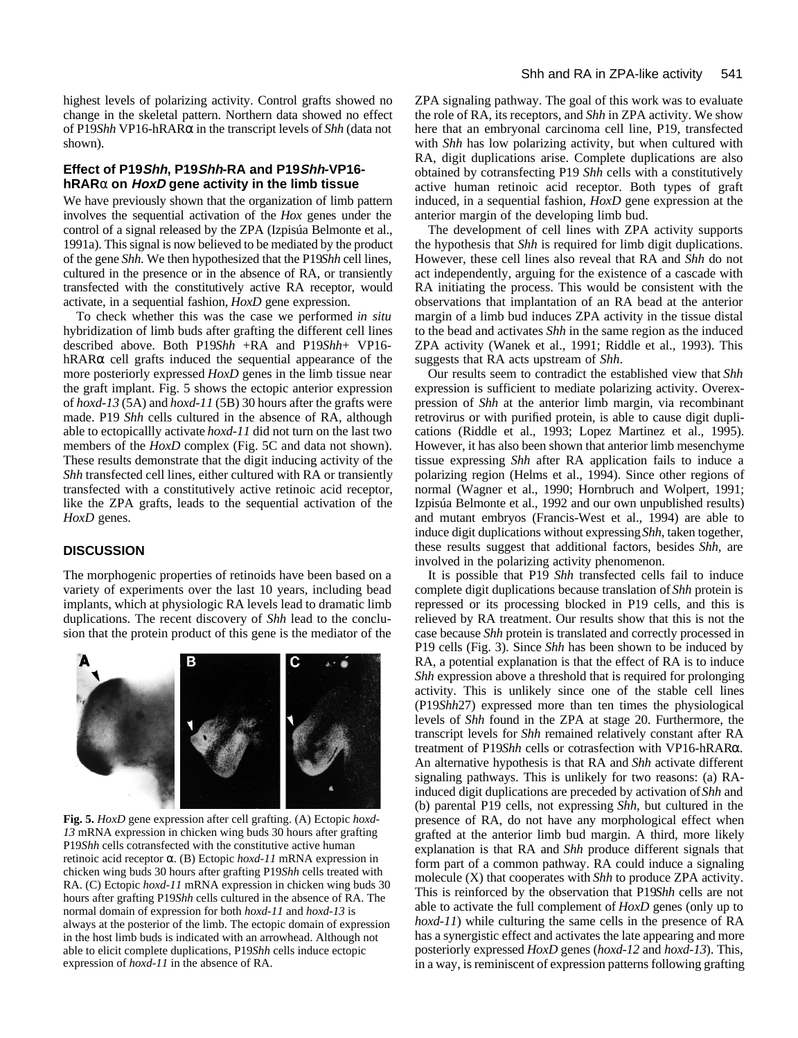highest levels of polarizing activity. Control grafts showed no change in the skeletal pattern. Northern data showed no effect of P19*Shh* VP16-hRARα in the transcript levels of *Shh* (data not shown).

# **Effect of P19Shh, P19Shh-RA and P19Shh-VP16 hRAR**α **on HoxD gene activity in the limb tissue**

We have previously shown that the organization of limb pattern involves the sequential activation of the *Hox* genes under the control of a signal released by the ZPA (Izpisúa Belmonte et al., 1991a). This signal is now believed to be mediated by the product of the gene *Shh*. We then hypothesized that the P19*Shh* cell lines, cultured in the presence or in the absence of RA, or transiently transfected with the constitutively active RA receptor, would activate, in a sequential fashion, *HoxD* gene expression.

To check whether this was the case we performed *in situ* hybridization of limb buds after grafting the different cell lines described above. Both P19*Shh* +RA and P19*Shh*+ VP16 hRAR $\alpha$  cell grafts induced the sequential appearance of the more posteriorly expressed *HoxD* genes in the limb tissue near the graft implant. Fig. 5 shows the ectopic anterior expression of *hoxd-13* (5A) and *hoxd-11* (5B) 30 hours after the grafts were made. P19 *Shh* cells cultured in the absence of RA, although able to ectopicallly activate *hoxd-11* did not turn on the last two members of the *HoxD* complex (Fig. 5C and data not shown). These results demonstrate that the digit inducing activity of the *Shh* transfected cell lines, either cultured with RA or transiently transfected with a constitutively active retinoic acid receptor, like the ZPA grafts, leads to the sequential activation of the *HoxD* genes.

# **DISCUSSION**

The morphogenic properties of retinoids have been based on a variety of experiments over the last 10 years, including bead implants, which at physiologic RA levels lead to dramatic limb duplications. The recent discovery of *Shh* lead to the conclusion that the protein product of this gene is the mediator of the



**Fig. 5.** *HoxD* gene expression after cell grafting. (A) Ectopic *hoxd*-*13* mRNA expression in chicken wing buds 30 hours after grafting P19*Shh* cells cotransfected with the constitutive active human retinoic acid receptor α. (B) Ectopic *hoxd-11* mRNA expression in chicken wing buds 30 hours after grafting P19*Shh* cells treated with RA. (C) Ectopic *hoxd*-*11* mRNA expression in chicken wing buds 30 hours after grafting P19*Shh* cells cultured in the absence of RA. The normal domain of expression for both *hoxd-11* and *hoxd*-*13* is always at the posterior of the limb. The ectopic domain of expression in the host limb buds is indicated with an arrowhead. Although not able to elicit complete duplications, P19*Shh* cells induce ectopic expression of *hoxd*-*11* in the absence of RA.

ZPA signaling pathway. The goal of this work was to evaluate the role of RA, its receptors, and *Shh* in ZPA activity. We show here that an embryonal carcinoma cell line, P19, transfected with *Shh* has low polarizing activity, but when cultured with RA, digit duplications arise. Complete duplications are also obtained by cotransfecting P19 *Shh* cells with a constitutively active human retinoic acid receptor. Both types of graft induced, in a sequential fashion, *HoxD* gene expression at the anterior margin of the developing limb bud.

The development of cell lines with ZPA activity supports the hypothesis that *Shh* is required for limb digit duplications. However, these cell lines also reveal that RA and *Shh* do not act independently, arguing for the existence of a cascade with RA initiating the process. This would be consistent with the observations that implantation of an RA bead at the anterior margin of a limb bud induces ZPA activity in the tissue distal to the bead and activates *Shh* in the same region as the induced ZPA activity (Wanek et al., 1991; Riddle et al., 1993). This suggests that RA acts upstream of *Shh*.

Our results seem to contradict the established view that *Shh* expression is sufficient to mediate polarizing activity. Overexpression of *Shh* at the anterior limb margin, via recombinant retrovirus or with purified protein, is able to cause digit duplications (Riddle et al., 1993; Lopez Martinez et al., 1995). However, it has also been shown that anterior limb mesenchyme tissue expressing *Shh* after RA application fails to induce a polarizing region (Helms et al., 1994). Since other regions of normal (Wagner et al., 1990; Hornbruch and Wolpert, 1991; Izpisúa Belmonte et al., 1992 and our own unpublished results) and mutant embryos (Francis-West et al., 1994) are able to induce digit duplications without expressing *Shh*, taken together, these results suggest that additional factors, besides *Shh*, are involved in the polarizing activity phenomenon.

It is possible that P19 *Shh* transfected cells fail to induce complete digit duplications because translation of *Shh* protein is repressed or its processing blocked in P19 cells, and this is relieved by RA treatment. Our results show that this is not the case because *Shh* protein is translated and correctly processed in P19 cells (Fig. 3). Since *Shh* has been shown to be induced by RA, a potential explanation is that the effect of RA is to induce *Shh* expression above a threshold that is required for prolonging activity. This is unlikely since one of the stable cell lines (P19*Shh*27) expressed more than ten times the physiological levels of *Shh* found in the ZPA at stage 20. Furthermore, the transcript levels for *Shh* remained relatively constant after RA treatment of P19*Shh* cells or cotrasfection with VP16-hRARα. An alternative hypothesis is that RA and *Shh* activate different signaling pathways. This is unlikely for two reasons: (a) RAinduced digit duplications are preceded by activation of *Shh* and (b) parental P19 cells, not expressing *Shh*, but cultured in the presence of RA, do not have any morphological effect when grafted at the anterior limb bud margin. A third, more likely explanation is that RA and *Shh* produce different signals that form part of a common pathway. RA could induce a signaling molecule (X) that cooperates with *Shh* to produce ZPA activity. This is reinforced by the observation that P19*Shh* cells are not able to activate the full complement of *HoxD* genes (only up to *hoxd*-*11*) while culturing the same cells in the presence of RA has a synergistic effect and activates the late appearing and more posteriorly expressed *HoxD* genes (*hoxd*-*12* and *hoxd-13*). This, in a way, is reminiscent of expression patterns following grafting